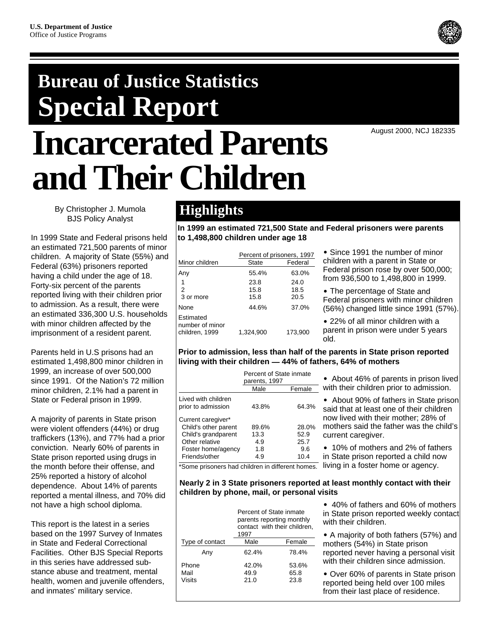# **Bureau of Justice Statistics Special Report Incarcerated Parents and Their Children**

August 2000, NCJ 182335

By Christopher J. Mumola BJS Policy Analyst

In 1999 State and Federal prisons held an estimated 721,500 parents of minor children. A majority of State (55%) and Federal (63%) prisoners reported having a child under the age of 18. Forty-six percent of the parents reported living with their children prior to admission. As a result, there were an estimated 336,300 U.S. households with minor children affected by the imprisonment of a resident parent.

Parents held in U.S prisons had an estimated 1,498,800 minor children in 1999, an increase of over 500,000 since 1991. Of the Nation's 72 million minor children, 2.1% had a parent in State or Federal prison in 1999.

A majority of parents in State prison were violent offenders (44%) or drug traffickers (13%), and 77% had a prior conviction. Nearly 60% of parents in State prison reported using drugs in the month before their offense, and 25% reported a history of alcohol dependence. About 14% of parents reported a mental illness, and 70% did not have a high school diploma.

This report is the latest in a series based on the 1997 Survey of Inmates in State and Federal Correctional Facilities. Other BJS Special Reports in this series have addressed substance abuse and treatment, mental health, women and juvenile offenders, and inmates' military service.

# **Highlights**

**In 1999 an estimated 721,500 State and Federal prisoners were parents to 1,498,800 children under age 18**

|                                                | Percent of prisoners, 1997 |                      |  |  |  |
|------------------------------------------------|----------------------------|----------------------|--|--|--|
| Minor children                                 | State                      | Federal              |  |  |  |
| Any                                            | 55.4%                      | 63.0%                |  |  |  |
| $\overline{2}$<br>3 or more                    | 23.8<br>15.8<br>15.8       | 24.0<br>18.5<br>20.5 |  |  |  |
| None                                           | 44.6%                      | 37.0%                |  |  |  |
| Estimated<br>number of minor<br>children, 1999 | 1,324,900                  | 173,900              |  |  |  |

• Since 1991 the number of minor children with a parent in State or Federal prison rose by over 500,000; from 936,500 to 1,498,800 in 1999.

• The percentage of State and Federal prisoners with minor children (56%) changed little since 1991 (57%).

• 22% of all minor children with a parent in prison were under 5 years old.

# **Prior to admission, less than half of the parents in State prison reported living with their children — 44% of fathers, 64% of mothers**

|                                                                                                           | Percent of State inmate<br>parents, 1997 |                              |
|-----------------------------------------------------------------------------------------------------------|------------------------------------------|------------------------------|
|                                                                                                           | Male                                     | Female                       |
| Lived with children<br>prior to admission                                                                 | 43.8%                                    | 64.3%                        |
| Current caregiver*<br>Child's other parent<br>Child's grandparent<br>Other relative<br>Foster home/agency | 89.6%<br>13.3<br>4.9<br>1.8              | 28.0%<br>52.9<br>25.7<br>9.6 |
| Friends/other                                                                                             | 4.9                                      | 10.4                         |

• About 46% of parents in prison lived with their children prior to admission.

• About 90% of fathers in State prison said that at least one of their children now lived with their mother; 28% of mothers said the father was the child's current caregiver.

• 10% of mothers and 2% of fathers in State prison reported a child now

\*Some prisoners had children in different homes. living in a foster home or agency.

# **Nearly 2 in 3 State prisoners reported at least monthly contact with their children by phone, mail, or personal visits**

|                 | Percent of State inmate<br>1997 | parents reporting monthly<br>contact with their children, |
|-----------------|---------------------------------|-----------------------------------------------------------|
| Type of contact | Male                            | Female                                                    |
| Any             | 62.4%                           | 78.4%                                                     |
| Phone           | 42.0%                           | 53.6%                                                     |
| Mail            | 49.9                            | 65.8                                                      |
| Visits          | 21.0                            | 23.8                                                      |
|                 |                                 |                                                           |

• 40% of fathers and 60% of mothers in State prison reported weekly contact with their children.

˘ A majority of both fathers (57%) and mothers (54%) in State prison reported never having a personal visit with their children since admission.

• Over 60% of parents in State prison reported being held over 100 miles from their last place of residence.

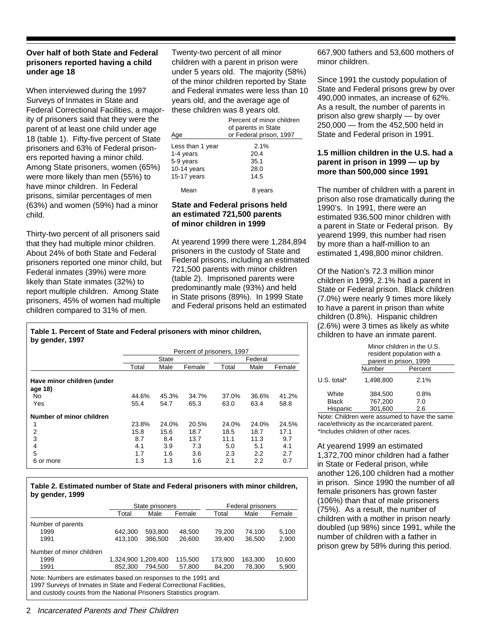# **Over half of both State and Federal prisoners reported having a child under age 18**

When interviewed during the 1997 Surveys of Inmates in State and Federal Correctional Facilities, a majority of prisoners said that they were the parent of at least one child under age 18 (table 1). Fifty-five percent of State prisoners and 63% of Federal prisoners reported having a minor child. Among State prisoners, women (65%) were more likely than men (55%) to have minor children. In Federal prisons, similar percentages of men (63%) and women (59%) had a minor child.

Thirty-two percent of all prisoners said that they had multiple minor children. About 24% of both State and Federal prisoners reported one minor child, but Federal inmates (39%) were more likely than State inmates (32%) to report multiple children. Among State prisoners, 45% of women had multiple children compared to 31% of men.

Twenty-two percent of all minor children with a parent in prison were under 5 years old. The majority (58%) of the minor children reported by State and Federal inmates were less than 10 years old, and the average age of these children was 8 years old.

| Age              | Percent of minor children<br>of parents in State<br>or Federal prison, 1997 |
|------------------|-----------------------------------------------------------------------------|
| Less than 1 year | 2.1%                                                                        |
| 1-4 years        | 20.4                                                                        |
| 5-9 years        | 35.1                                                                        |
| 10-14 years      | 28.0                                                                        |
| 15-17 years      | 14.5                                                                        |
| Mean             | 8 years                                                                     |

# **State and Federal prisons held an estimated 721,500 parents of minor children in 1999**

At yearend 1999 there were 1,284,894 prisoners in the custody of State and Federal prisons, including an estimated 721,500 parents with minor children (table 2). Imprisoned parents were predominantly male (93%) and held in State prisons (89%). In 1999 State and Federal prisons held an estimated

**Table 1. Percent of State and Federal prisoners with minor children, by gender, 1997**

|                                       | Percent of prisoners, 1997 |       |        |       |         |        |
|---------------------------------------|----------------------------|-------|--------|-------|---------|--------|
|                                       |                            | State |        |       | Federal |        |
|                                       | Total                      | Male  | Female | Total | Male    | Female |
| Have minor children (under<br>age 18) |                            |       |        |       |         |        |
| No                                    | 44.6%                      | 45.3% | 34.7%  | 37.0% | 36.6%   | 41.2%  |
| Yes                                   | 55.4                       | 54.7  | 65.3   | 63.0  | 63.4    | 58.8   |
| Number of minor children              |                            |       |        |       |         |        |
| 1                                     | 23.8%                      | 24.0% | 20.5%  | 24.0% | 24.0%   | 24.5%  |
| 2                                     | 15.8                       | 15.6  | 18.7   | 18.5  | 18.7    | 17.1   |
| 3                                     | 8.7                        | 8.4   | 13.7   | 11.1  | 11.3    | 9.7    |
| 4                                     | 4.1                        | 3.9   | 7.3    | 5.0   | 5.1     | 4.1    |
| 5                                     | 1.7                        | 1.6   | 3.6    | 2.3   | 2.2     | 2.7    |
| 6 or more                             | 1.3                        | 1.3   | 1.6    | 2.1   | 2.2     | 0.7    |

#### **Table 2. Estimated number of State and Federal prisoners with minor children, by gender, 1999**

|                                                                                                                                         |                     | State prisoners |         |         | Federal prisoners |        |  |
|-----------------------------------------------------------------------------------------------------------------------------------------|---------------------|-----------------|---------|---------|-------------------|--------|--|
|                                                                                                                                         | Total               | Male            | Female  | Total   | Male              | Female |  |
| Number of parents                                                                                                                       |                     |                 |         |         |                   |        |  |
| 1999                                                                                                                                    | 642.300             | 593.800         | 48.500  | 79.200  | 74.100            | 5,100  |  |
| 1991                                                                                                                                    | 413.100             | 386,500         | 26,600  | 39.400  | 36.500            | 2,900  |  |
| Number of minor children                                                                                                                |                     |                 |         |         |                   |        |  |
| 1999                                                                                                                                    | 1,324,900 1,209,400 |                 | 115,500 | 173.900 | 163,300           | 10,600 |  |
| 1991                                                                                                                                    | 852,300             | 794.500         | 57,800  | 84.200  | 78,300            | 5,900  |  |
| Note: Numbers are estimates based on responses to the 1991 and<br>1997 Surveys of Inmates in State and Federal Correctional Facilities, |                     |                 |         |         |                   |        |  |

and custody counts from the National Prisoners Statistics program.

667,900 fathers and 53,600 mothers of minor children.

Since 1991 the custody population of State and Federal prisons grew by over 490,000 inmates, an increase of 62%. As a result, the number of parents in prison also grew sharply — by over 250,000 — from the 452,500 held in State and Federal prison in 1991.

# **1.5 million children in the U.S. had a parent in prison in 1999 — up by more than 500,000 since 1991**

The number of children with a parent in prison also rose dramatically during the 1990's. In 1991, there were an estimated 936,500 minor children with a parent in State or Federal prison. By yearend 1999, this number had risen by more than a half-million to an estimated 1,498,800 minor children.

Of the Nation's 72.3 million minor children in 1999, 2.1% had a parent in State or Federal prison. Black children (7.0%) were nearly 9 times more likely to have a parent in prison than white children (0.8%). Hispanic children (2.6%) were 3 times as likely as white children to have an inmate parent.

|                                   | Minor children in the U.S.<br>resident population with a<br>parent in prison, 1999 |                    |  |  |  |
|-----------------------------------|------------------------------------------------------------------------------------|--------------------|--|--|--|
|                                   | Number                                                                             | Percent            |  |  |  |
| U.S. total*                       | 1,498,800                                                                          | 2.1%               |  |  |  |
| White<br><b>Black</b><br>Hispanic | 384,500<br>767,200<br>301,600                                                      | 0.8%<br>7.0<br>2.6 |  |  |  |

Note: Children were assumed to have the same race/ethnicity as the incarcerated parent. \*Includes children of other races.

At yearend 1999 an estimated 1,372,700 minor children had a father in State or Federal prison, while another 126,100 children had a mother in prison. Since 1990 the number of all female prisoners has grown faster (106%) than that of male prisoners (75%). As a result, the number of children with a mother in prison nearly doubled (up 98%) since 1991, while the number of children with a father in prison grew by 58% during this period.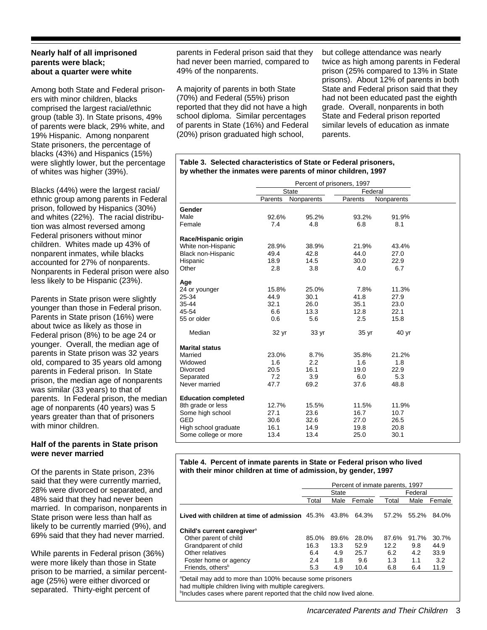# **Nearly half of all imprisoned parents were black; about a quarter were white**

Among both State and Federal prisoners with minor children, blacks comprised the largest racial/ethnic group (table 3). In State prisons, 49% of parents were black, 29% white, and 19% Hispanic. Among nonparent State prisoners, the percentage of blacks (43%) and Hispanics (15%) were slightly lower, but the percentage of whites was higher (39%).

Blacks (44%) were the largest racial/ ethnic group among parents in Federal prison, followed by Hispanics (30%) and whites (22%). The racial distribution was almost reversed among Federal prisoners without minor children. Whites made up 43% of nonparent inmates, while blacks accounted for 27% of nonparents. Nonparents in Federal prison were also less likely to be Hispanic (23%).

Parents in State prison were slightly younger than those in Federal prison. Parents in State prison (16%) were about twice as likely as those in Federal prison (8%) to be age 24 or younger. Overall, the median age of parents in State prison was 32 years old, compared to 35 years old among parents in Federal prison. In State prison, the median age of nonparents was similar (33 years) to that of parents. In Federal prison, the median age of nonparents (40 years) was 5 years greater than that of prisoners with minor children.

# **Half of the parents in State prison were never married**

Of the parents in State prison, 23% said that they were currently married, 28% were divorced or separated, and 48% said that they had never been married. In comparison, nonparents in State prison were less than half as likely to be currently married (9%), and 69% said that they had never married.

While parents in Federal prison (36%) were more likely than those in State prison to be married, a similar percentage (25%) were either divorced or separated. Thirty-eight percent of

parents in Federal prison said that they had never been married, compared to 49% of the nonparents.

A majority of parents in both State (70%) and Federal (55%) prison reported that they did not have a high school diploma. Similar percentages of parents in State (16%) and Federal (20%) prison graduated high school,

but college attendance was nearly twice as high among parents in Federal prison (25% compared to 13% in State prisons). About 12% of parents in both State and Federal prison said that they had not been educated past the eighth grade. Overall, nonparents in both State and Federal prison reported similar levels of education as inmate parents.

#### **Table 3. Selected characteristics of State or Federal prisoners, by whether the inmates were parents of minor children, 1997**

| <b>State</b><br>Federal<br>Parents<br>Nonparents<br>Parents<br>Nonparents<br>Gender<br>Male<br>95.2%<br>91.9%<br>92.6%<br>93.2%<br>Female<br>7.4<br>4.8<br>6.8<br>8.1<br>Race/Hispanic origin<br>White non-Hispanic<br>28.9%<br>38.9%<br>21.9%<br>43.4%<br>42.8<br>44.0<br>27.0<br>Black non-Hispanic<br>49.4<br>Hispanic<br>14.5<br>22.9<br>18.9<br>30.0<br>Other<br>2.8<br>3.8<br>4.0<br>6.7<br>Age<br>15.8%<br>7.8%<br>25.0%<br>11.3%<br>24 or younger<br>44.9<br>30.1<br>41.8<br>27.9<br>25-34<br>32.1<br>35-44<br>26.0<br>35.1<br>23.0<br>13.3<br>45-54<br>6.6<br>12.8<br>22.1<br>55 or older<br>0.6<br>5.6<br>2.5<br>15.8<br>Median<br>40 yr<br>32 yr<br>33 yr<br>35 yr<br><b>Marital status</b><br>23.0%<br>8.7%<br>35.8%<br>Married<br>21.2%<br>2.2<br>Widowed<br>1.6<br>1.6<br>1.8<br>20.5<br>16.1<br>19.0<br>22.9<br>Divorced<br>7.2<br>3.9<br>Separated<br>6.0<br>5.3<br>Never married<br>47.7<br>69.2<br>37.6<br>48.8<br><b>Education completed</b><br>8th grade or less<br>12.7%<br>11.5%<br>11.9%<br>15.5%<br>Some high school<br>16.7<br>27.1<br>23.6<br>10.7<br>GED<br>30.6<br>27.0<br>32.6<br>26.5<br>High school graduate<br>16.1<br>14.9<br>20.8<br>19.8<br>Some college or more<br>13.4<br>13.4<br>25.0<br>30.1 |  | Percent of prisoners, 1997 |  |  |
|-------------------------------------------------------------------------------------------------------------------------------------------------------------------------------------------------------------------------------------------------------------------------------------------------------------------------------------------------------------------------------------------------------------------------------------------------------------------------------------------------------------------------------------------------------------------------------------------------------------------------------------------------------------------------------------------------------------------------------------------------------------------------------------------------------------------------------------------------------------------------------------------------------------------------------------------------------------------------------------------------------------------------------------------------------------------------------------------------------------------------------------------------------------------------------------------------------------------------------------|--|----------------------------|--|--|
|                                                                                                                                                                                                                                                                                                                                                                                                                                                                                                                                                                                                                                                                                                                                                                                                                                                                                                                                                                                                                                                                                                                                                                                                                                     |  |                            |  |  |
|                                                                                                                                                                                                                                                                                                                                                                                                                                                                                                                                                                                                                                                                                                                                                                                                                                                                                                                                                                                                                                                                                                                                                                                                                                     |  |                            |  |  |
|                                                                                                                                                                                                                                                                                                                                                                                                                                                                                                                                                                                                                                                                                                                                                                                                                                                                                                                                                                                                                                                                                                                                                                                                                                     |  |                            |  |  |
|                                                                                                                                                                                                                                                                                                                                                                                                                                                                                                                                                                                                                                                                                                                                                                                                                                                                                                                                                                                                                                                                                                                                                                                                                                     |  |                            |  |  |
|                                                                                                                                                                                                                                                                                                                                                                                                                                                                                                                                                                                                                                                                                                                                                                                                                                                                                                                                                                                                                                                                                                                                                                                                                                     |  |                            |  |  |
|                                                                                                                                                                                                                                                                                                                                                                                                                                                                                                                                                                                                                                                                                                                                                                                                                                                                                                                                                                                                                                                                                                                                                                                                                                     |  |                            |  |  |
|                                                                                                                                                                                                                                                                                                                                                                                                                                                                                                                                                                                                                                                                                                                                                                                                                                                                                                                                                                                                                                                                                                                                                                                                                                     |  |                            |  |  |
|                                                                                                                                                                                                                                                                                                                                                                                                                                                                                                                                                                                                                                                                                                                                                                                                                                                                                                                                                                                                                                                                                                                                                                                                                                     |  |                            |  |  |
|                                                                                                                                                                                                                                                                                                                                                                                                                                                                                                                                                                                                                                                                                                                                                                                                                                                                                                                                                                                                                                                                                                                                                                                                                                     |  |                            |  |  |
|                                                                                                                                                                                                                                                                                                                                                                                                                                                                                                                                                                                                                                                                                                                                                                                                                                                                                                                                                                                                                                                                                                                                                                                                                                     |  |                            |  |  |
|                                                                                                                                                                                                                                                                                                                                                                                                                                                                                                                                                                                                                                                                                                                                                                                                                                                                                                                                                                                                                                                                                                                                                                                                                                     |  |                            |  |  |
|                                                                                                                                                                                                                                                                                                                                                                                                                                                                                                                                                                                                                                                                                                                                                                                                                                                                                                                                                                                                                                                                                                                                                                                                                                     |  |                            |  |  |
|                                                                                                                                                                                                                                                                                                                                                                                                                                                                                                                                                                                                                                                                                                                                                                                                                                                                                                                                                                                                                                                                                                                                                                                                                                     |  |                            |  |  |
|                                                                                                                                                                                                                                                                                                                                                                                                                                                                                                                                                                                                                                                                                                                                                                                                                                                                                                                                                                                                                                                                                                                                                                                                                                     |  |                            |  |  |
|                                                                                                                                                                                                                                                                                                                                                                                                                                                                                                                                                                                                                                                                                                                                                                                                                                                                                                                                                                                                                                                                                                                                                                                                                                     |  |                            |  |  |
|                                                                                                                                                                                                                                                                                                                                                                                                                                                                                                                                                                                                                                                                                                                                                                                                                                                                                                                                                                                                                                                                                                                                                                                                                                     |  |                            |  |  |
|                                                                                                                                                                                                                                                                                                                                                                                                                                                                                                                                                                                                                                                                                                                                                                                                                                                                                                                                                                                                                                                                                                                                                                                                                                     |  |                            |  |  |
|                                                                                                                                                                                                                                                                                                                                                                                                                                                                                                                                                                                                                                                                                                                                                                                                                                                                                                                                                                                                                                                                                                                                                                                                                                     |  |                            |  |  |
|                                                                                                                                                                                                                                                                                                                                                                                                                                                                                                                                                                                                                                                                                                                                                                                                                                                                                                                                                                                                                                                                                                                                                                                                                                     |  |                            |  |  |
|                                                                                                                                                                                                                                                                                                                                                                                                                                                                                                                                                                                                                                                                                                                                                                                                                                                                                                                                                                                                                                                                                                                                                                                                                                     |  |                            |  |  |
|                                                                                                                                                                                                                                                                                                                                                                                                                                                                                                                                                                                                                                                                                                                                                                                                                                                                                                                                                                                                                                                                                                                                                                                                                                     |  |                            |  |  |
|                                                                                                                                                                                                                                                                                                                                                                                                                                                                                                                                                                                                                                                                                                                                                                                                                                                                                                                                                                                                                                                                                                                                                                                                                                     |  |                            |  |  |
|                                                                                                                                                                                                                                                                                                                                                                                                                                                                                                                                                                                                                                                                                                                                                                                                                                                                                                                                                                                                                                                                                                                                                                                                                                     |  |                            |  |  |
|                                                                                                                                                                                                                                                                                                                                                                                                                                                                                                                                                                                                                                                                                                                                                                                                                                                                                                                                                                                                                                                                                                                                                                                                                                     |  |                            |  |  |
|                                                                                                                                                                                                                                                                                                                                                                                                                                                                                                                                                                                                                                                                                                                                                                                                                                                                                                                                                                                                                                                                                                                                                                                                                                     |  |                            |  |  |
|                                                                                                                                                                                                                                                                                                                                                                                                                                                                                                                                                                                                                                                                                                                                                                                                                                                                                                                                                                                                                                                                                                                                                                                                                                     |  |                            |  |  |
|                                                                                                                                                                                                                                                                                                                                                                                                                                                                                                                                                                                                                                                                                                                                                                                                                                                                                                                                                                                                                                                                                                                                                                                                                                     |  |                            |  |  |
|                                                                                                                                                                                                                                                                                                                                                                                                                                                                                                                                                                                                                                                                                                                                                                                                                                                                                                                                                                                                                                                                                                                                                                                                                                     |  |                            |  |  |
|                                                                                                                                                                                                                                                                                                                                                                                                                                                                                                                                                                                                                                                                                                                                                                                                                                                                                                                                                                                                                                                                                                                                                                                                                                     |  |                            |  |  |

#### **Table 4. Percent of inmate parents in State or Federal prison who lived with their minor children at time of admission, by gender, 1997**

|                                                | Percent of inmate parents, 1997 |       |        |       |         |        |
|------------------------------------------------|---------------------------------|-------|--------|-------|---------|--------|
|                                                |                                 | State |        |       | Federal |        |
|                                                | Total                           | Male  | Female | Total | Male    | Female |
| Lived with children at time of admission 45.3% |                                 | 43.8% | 64.3%  | 57.2% | 55.2%   | 84.0%  |
| Child's current caregiver <sup>a</sup>         |                                 |       |        |       |         |        |
| Other parent of child                          | 85.0%                           | 89.6% | 28.0%  | 87.6% | 91.7%   | 30.7%  |
| Grandparent of child                           | 16.3                            | 13.3  | 52.9   | 12.2  | 9.8     | 44.9   |
| Other relatives                                | 6.4                             | 4.9   | 25.7   | 6.2   | 4.2     | 33.9   |
| Foster home or agency                          | 2.4                             | 1.8   | 9.6    | 1.3   | 1.1     | 3.2    |
| Friends, others <sup>b</sup>                   | 5.3                             | 4.9   | 10.4   | 6.8   | 6.4     | 11.9   |

a Detail may add to more than 100% because some prisoners had multiple children living with multiple caregivers.

blncludes cases where parent reported that the child now lived alone.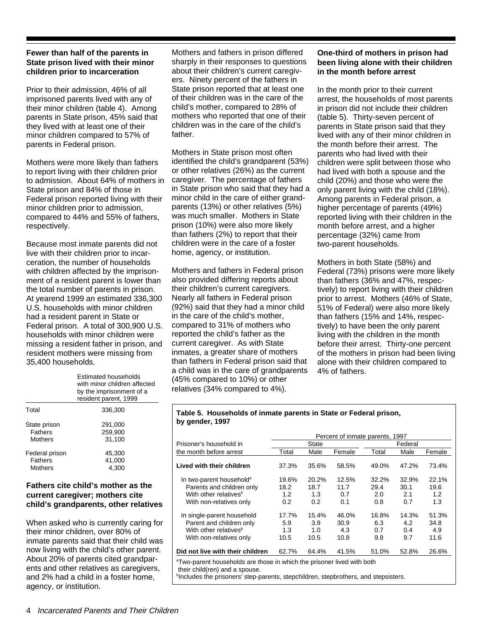# **Fewer than half of the parents in State prison lived with their minor children prior to incarceration**

Prior to their admission, 46% of all imprisoned parents lived with any of their minor children (table 4). Among parents in State prison, 45% said that they lived with at least one of their minor children compared to 57% of parents in Federal prison.

Mothers were more likely than fathers to report living with their children prior to admission. About 64% of mothers in State prison and 84% of those in Federal prison reported living with their minor children prior to admission, compared to 44% and 55% of fathers, respectively.

Because most inmate parents did not live with their children prior to incarceration, the number of households with children affected by the imprisonment of a resident parent is lower than the total number of parents in prison. At yearend 1999 an estimated 336,300 U.S. households with minor children had a resident parent in State or Federal prison. A total of 300,900 U.S. households with minor children were missing a resident father in prison, and resident mothers were missing from 35,400 households.

|                | Estimated households<br>with minor children affected<br>by the imprisonment of a<br>resident parent, 1999 |
|----------------|-----------------------------------------------------------------------------------------------------------|
| Total          | 336,300                                                                                                   |
| State prison   | 291,000                                                                                                   |
| <b>Fathers</b> | 259.900                                                                                                   |
| Mothers        | 31.100                                                                                                    |
| Federal prison | 45,300                                                                                                    |
| <b>Fathers</b> | 41,000                                                                                                    |
| Mothers        | 4.300                                                                                                     |

# **Fathers cite child's mother as the current caregiver; mothers cite child's grandparents, other relatives**

When asked who is currently caring for their minor children, over 80% of inmate parents said that their child was now living with the child's other parent. About 20% of parents cited grandparents and other relatives as caregivers, and 2% had a child in a foster home, agency, or institution.

Mothers and fathers in prison differed sharply in their responses to questions about their children's current caregivers. Ninety percent of the fathers in State prison reported that at least one of their children was in the care of the child's mother, compared to 28% of mothers who reported that one of their children was in the care of the child's father.

Mothers in State prison most often identified the child's grandparent (53%) or other relatives (26%) as the current caregiver. The percentage of fathers in State prison who said that they had a minor child in the care of either grandparents (13%) or other relatives (5%) was much smaller. Mothers in State prison (10%) were also more likely than fathers (2%) to report that their children were in the care of a foster home, agency, or institution.

Mothers and fathers in Federal prison also provided differing reports about their children's current caregivers. Nearly all fathers in Federal prison (92%) said that they had a minor child in the care of the child's mother, compared to 31% of mothers who reported the child's father as the current caregiver. As with State inmates, a greater share of mothers than fathers in Federal prison said that a child was in the care of grandparents (45% compared to 10%) or other relatives (34% compared to 4%).

# **One-third of mothers in prison had been living alone with their children in the month before arrest**

In the month prior to their current arrest, the households of most parents in prison did not include their children (table 5). Thirty-seven percent of parents in State prison said that they lived with any of their minor children in the month before their arrest. The parents who had lived with their children were split between those who had lived with both a spouse and the child (20%) and those who were the only parent living with the child (18%). Among parents in Federal prison, a higher percentage of parents (49%) reported living with their children in the month before arrest, and a higher percentage (32%) came from two-parent households.

Mothers in both State (58%) and Federal (73%) prisons were more likely than fathers (36% and 47%, respectively) to report living with their children prior to arrest. Mothers (46% of State, 51% of Federal) were also more likely than fathers (15% and 14%, respectively) to have been the only parent living with the children in the month before their arrest. Thirty-one percent of the mothers in prison had been living alone with their children compared to 4% of fathers.

#### **Table 5. Households of inmate parents in State or Federal prison, by gender, 1997**

|                                      | Percent of inmate parents, 1997 |       |        |         |       |        |
|--------------------------------------|---------------------------------|-------|--------|---------|-------|--------|
| Prisoner's household in              |                                 | State |        | Federal |       |        |
| the month before arrest              | Total                           | Male  | Female | Total   | Male  | Female |
| Lived with their children            | 37.3%                           | 35.6% | 58.5%  | 49.0%   | 47.2% | 73.4%  |
| In two-parent household <sup>a</sup> | 19.6%                           | 20.2% | 12.5%  | 32.2%   | 32.9% | 22.1%  |
| Parents and children only            | 18.2                            | 18.7  | 11.7   | 29.4    | 30.1  | 19.6   |
| With other relatives <sup>b</sup>    | 1.2                             | 1.3   | 0.7    | 2.0     | 2.1   | 1.2    |
| With non-relatives only              | 0.2                             | 0.2   | 0.1    | 0.8     | 0.7   | 1.3    |
| In single-parent household           | 17.7%                           | 15.4% | 46.0%  | 16.8%   | 14.3% | 51.3%  |
| Parent and children only             | 5.9                             | 3.9   | 30.9   | 6.3     | 4.2   | 34.8   |
| With other relatives <sup>b</sup>    | 1.3                             | 1.0   | 4.3    | 0.7     | 0.4   | 4.9    |
| With non-relatives only              | 10.5                            | 10.5  | 10.8   | 9.8     | 9.7   | 11.6   |
| Did not live with their children     | 62.7%                           | 64.4% | 41.5%  | 51.0%   | 52.8% | 26.6%  |

<sup>a</sup>Two-parent households are those in which the prisoner lived with both

their child(ren) and a spouse.

**hincludes the prisoners' step-parents, stepchildren, stepbrothers, and stepsisters.**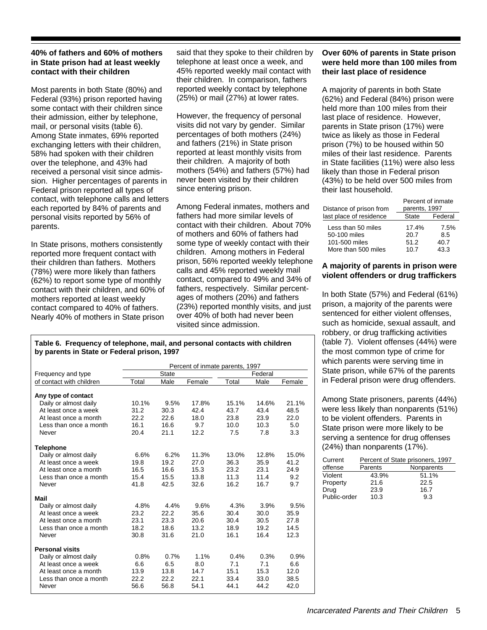# **40% of fathers and 60% of mothers in State prison had at least weekly contact with their children**

Most parents in both State (80%) and Federal (93%) prison reported having some contact with their children since their admission, either by telephone, mail, or personal visits (table 6). Among State inmates, 69% reported exchanging letters with their children, 58% had spoken with their children over the telephone, and 43% had received a personal visit since admission. Higher percentages of parents in Federal prison reported all types of contact, with telephone calls and letters each reported by 84% of parents and personal visits reported by 56% of parents.

In State prisons, mothers consistently reported more frequent contact with their children than fathers. Mothers (78%) were more likely than fathers (62%) to report some type of monthly contact with their children, and 60% of mothers reported at least weekly contact compared to 40% of fathers. Nearly 40% of mothers in State prison

said that they spoke to their children by telephone at least once a week, and 45% reported weekly mail contact with their children. In comparison, fathers reported weekly contact by telephone (25%) or mail (27%) at lower rates.

However, the frequency of personal visits did not vary by gender. Similar percentages of both mothers (24%) and fathers (21%) in State prison reported at least monthly visits from their children. A majority of both mothers (54%) and fathers (57%) had never been visited by their children since entering prison.

Among Federal inmates, mothers and fathers had more similar levels of contact with their children. About 70% of mothers and 60% of fathers had some type of weekly contact with their children. Among mothers in Federal prison, 56% reported weekly telephone calls and 45% reported weekly mail contact, compared to 49% and 34% of fathers, respectively. Similar percentages of mothers (20%) and fathers (23%) reported monthly visits, and just over 40% of both had never been visited since admission.

# **Over 60% of parents in State prison were held more than 100 miles from their last place of residence**

A majority of parents in both State (62%) and Federal (84%) prison were held more than 100 miles from their last place of residence. However, parents in State prison (17%) were twice as likely as those in Federal prison (7%) to be housed within 50 miles of their last residence. Parents in State facilities (11%) were also less likely than those in Federal prison (43%) to be held over 500 miles from their last household.

|                         | Percent of inmate |         |  |
|-------------------------|-------------------|---------|--|
| Distance of prison from | parents, 1997     |         |  |
| last place of residence | State             | Federal |  |
| Less than 50 miles      | 17.4%             | 7.5%    |  |
| 50-100 miles            | 20.7              | 8.5     |  |
| 101-500 miles           | 51.2              | 40.7    |  |
| More than 500 miles     | 10.7              | 43.3    |  |

# **A majority of parents in prison were violent offenders or drug traffickers**

In both State (57%) and Federal (61%) prison, a majority of the parents were sentenced for either violent offenses, such as homicide, sexual assault, and robbery, or drug trafficking activities (table 7). Violent offenses (44%) were the most common type of crime for which parents were serving time in State prison, while 67% of the parents in Federal prison were drug offenders.

Among State prisoners, parents (44%) were less likely than nonparents (51%) to be violent offenders. Parents in State prison were more likely to be serving a sentence for drug offenses (24%) than nonparents (17%).

| Current      |         | Percent of State prisoners, 1997 |
|--------------|---------|----------------------------------|
| offense      | Parents | Nonparents                       |
| Violent      | 43.9%   | 51.1%                            |
| Property     | 21.6    | 22.5                             |
| Drug         | 23.9    | 16.7                             |
| Public-order | 10.3    | 9.3                              |

#### **Table 6. Frequency of telephone, mail, and personal contacts with children by parents in State or Federal prison, 1997**

|                          |       |       |        | Percent of inmate parents, 1997 |         |        |
|--------------------------|-------|-------|--------|---------------------------------|---------|--------|
| Frequency and type       |       | State |        |                                 | Federal |        |
| of contact with children | Total | Male  | Female | Total                           | Male    | Female |
|                          |       |       |        |                                 |         |        |
| Any type of contact      |       |       |        |                                 |         |        |
| Daily or almost daily    | 10.1% | 9.5%  | 17.8%  | 15.1%                           | 14.6%   | 21.1%  |
| At least once a week     | 31.2  | 30.3  | 42.4   | 43.7                            | 43.4    | 48.5   |
| At least once a month    | 22.2  | 22.6  | 18.0   | 23.8                            | 23.9    | 22.0   |
| Less than once a month   | 16.1  | 16.6  | 9.7    | 10.0                            | 10.3    | 5.0    |
| Never                    | 20.4  | 21.1  | 12.2   | 7.5                             | 7.8     | 3.3    |
|                          |       |       |        |                                 |         |        |
| <b>Telephone</b>         |       |       |        |                                 |         |        |
| Daily or almost daily    | 6.6%  | 6.2%  | 11.3%  | 13.0%                           | 12.8%   | 15.0%  |
| At least once a week     | 19.8  | 19.2  | 27.0   | 36.3                            | 35.9    | 41.2   |
| At least once a month    | 16.5  | 16.6  | 15.3   | 23.2                            | 23.1    | 24.9   |
| Less than once a month   | 15.4  | 15.5  | 13.8   | 11.3                            | 11.4    | 9.2    |
| Never                    | 41.8  | 42.5  | 32.6   | 16.2                            | 16.7    | 9.7    |
| Mail                     |       |       |        |                                 |         |        |
| Daily or almost daily    | 4.8%  | 4.4%  | 9.6%   | 4.3%                            | 3.9%    | 9.5%   |
| At least once a week     | 23.2  | 22.2  | 35.6   | 30.4                            | 30.0    | 35.9   |
| At least once a month    | 23.1  | 23.3  | 20.6   | 30.4                            | 30.5    | 27.8   |
| Less than once a month   | 18.2  | 18.6  | 13.2   | 18.9                            | 19.2    | 14.5   |
| Never                    | 30.8  | 31.6  | 21.0   | 16.1                            | 16.4    | 12.3   |
|                          |       |       |        |                                 |         |        |
| <b>Personal visits</b>   |       |       |        |                                 |         |        |
| Daily or almost daily    | 0.8%  | 0.7%  | 1.1%   | 0.4%                            | 0.3%    | 0.9%   |
| At least once a week     | 6.6   | 6.5   | 8.0    | 7.1                             | 7.1     | 6.6    |
| At least once a month    | 13.9  | 13.8  | 14.7   | 15.1                            | 15.3    | 12.0   |
| Less than once a month   | 22.2  | 22.2  | 22.1   | 33.4                            | 33.0    | 38.5   |
| Never                    | 56.6  | 56.8  | 54.1   | 44.1                            | 44.2    | 42.0   |
|                          |       |       |        |                                 |         |        |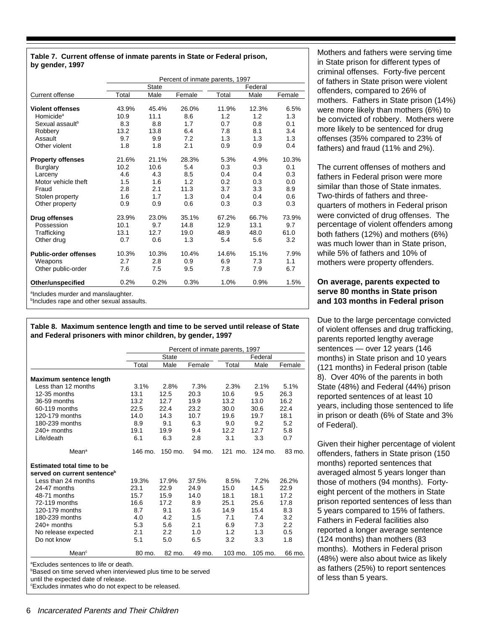#### **Table 7. Current offense of inmate parents in State or Federal prison, by gender, 1997**

|                                                | Percent of inmate parents, 1997 |              |        |       |         |        |  |  |  |
|------------------------------------------------|---------------------------------|--------------|--------|-------|---------|--------|--|--|--|
|                                                |                                 | <b>State</b> |        |       | Federal |        |  |  |  |
| Current offense                                | Total                           | Male         | Female | Total | Male    | Female |  |  |  |
| <b>Violent offenses</b>                        | 43.9%                           | 45.4%        | 26.0%  | 11.9% | 12.3%   | 6.5%   |  |  |  |
| Homicide <sup>a</sup>                          | 10.9                            | 11.1         | 8.6    | 1.2   | 1.2     | 1.3    |  |  |  |
| Sexual assault <sup>b</sup>                    | 8.3                             | 8.8          | 1.7    | 0.7   | 0.8     | 0.1    |  |  |  |
| Robbery                                        | 13.2                            | 13.8         | 6.4    | 7.8   | 8.1     | 3.4    |  |  |  |
| Assault                                        | 9.7                             | 9.9          | 7.2    | 1.3   | 1.3     | 1.3    |  |  |  |
| Other violent                                  | 1.8                             | 1.8          | 2.1    | 0.9   | 0.9     | 0.4    |  |  |  |
| <b>Property offenses</b>                       | 21.6%                           | 21.1%        | 28.3%  | 5.3%  | 4.9%    | 10.3%  |  |  |  |
| Burglary                                       | 10.2                            | 10.6         | 5.4    | 0.3   | 0.3     | 0.1    |  |  |  |
| Larceny                                        | 4.6                             | 4.3          | 8.5    | 0.4   | 0.4     | 0.3    |  |  |  |
| Motor vehicle theft                            | 1.5                             | 1.6          | 1.2    | 0.2   | 0.3     | 0.0    |  |  |  |
| Fraud                                          | 2.8                             | 2.1          | 11.3   | 3.7   | 3.3     | 8.9    |  |  |  |
|                                                |                                 |              | 1.3    |       | 0.4     |        |  |  |  |
| Stolen property                                | 1.6                             | 1.7          |        | 0.4   |         | 0.6    |  |  |  |
| Other property                                 | 0.9                             | 0.9          | 0.6    | 0.3   | 0.3     | 0.3    |  |  |  |
| Drug offenses                                  | 23.9%                           | 23.0%        | 35.1%  | 67.2% | 66.7%   | 73.9%  |  |  |  |
| Possession                                     | 10.1                            | 9.7          | 14.8   | 12.9  | 13.1    | 9.7    |  |  |  |
| Trafficking                                    | 13.1                            | 12.7         | 19.0   | 48.9  | 48.0    | 61.0   |  |  |  |
| Other drug                                     | 0.7                             | 0.6          | 1.3    | 5.4   | 5.6     | 3.2    |  |  |  |
| <b>Public-order offenses</b>                   | 10.3%                           | 10.3%        | 10.4%  | 14.6% | 15.1%   | 7.9%   |  |  |  |
| Weapons                                        | 2.7                             | 2.8          | 0.9    | 6.9   | 7.3     | 1.1    |  |  |  |
| Other public-order                             | 7.6                             | 7.5          | 9.5    | 7.8   | 7.9     | 6.7    |  |  |  |
| Other/unspecified                              | 0.2%                            | 0.2%         | 0.3%   | 1.0%  | 0.9%    | 1.5%   |  |  |  |
| <sup>a</sup> includes murder and manslaughter. |                                 |              |        |       |         |        |  |  |  |

**bIncludes rape and other sexual assaults.** 

**Table 8. Maximum sentence length and time to be served until release of State and Federal prisoners with minor children, by gender, 1997**

|                                         |         |              | Percent of inmate parents, 1997 |         |         |        |
|-----------------------------------------|---------|--------------|---------------------------------|---------|---------|--------|
|                                         |         | <b>State</b> |                                 |         | Federal |        |
|                                         | Total   | Male         | Female                          | Total   | Male    | Female |
| Maximum sentence length                 |         |              |                                 |         |         |        |
| Less than 12 months                     | 3.1%    | 2.8%         | 7.3%                            | 2.3%    | 2.1%    | 5.1%   |
| 12-35 months                            | 13.1    | 12.5         | 20.3                            | 10.6    | 9.5     | 26.3   |
| 36-59 months                            | 13.2    | 12.7         | 19.9                            | 13.2    | 13.0    | 16.2   |
| 60-119 months                           | 22.5    | 22.4         | 23.2                            | 30.0    | 30.6    | 22.4   |
| 120-179 months                          | 14.0    | 14.3         | 10.7                            | 19.6    | 19.7    | 18.1   |
| 180-239 months                          | 8.9     | 9.1          | 6.3                             | 9.0     | 9.2     | 5.2    |
| $240+$ months                           | 19.1    | 19.9         | 9.4                             | 12.2    | 12.7    | 5.8    |
| Life/death                              | 6.1     | 6.3          | 2.8                             | 3.1     | 3.3     | 0.7    |
| Mean <sup>a</sup>                       | 146 mo. | 150 mo.      | 94 mo.                          | 121 mo. | 124 mo. | 83 mo. |
| <b>Estimated total time to be</b>       |         |              |                                 |         |         |        |
| served on current sentence <sup>b</sup> |         |              |                                 |         |         |        |
| Less than 24 months                     | 19.3%   | 17.9%        | 37.5%                           | 8.5%    | 7.2%    | 26.2%  |
| 24-47 months                            | 23.1    | 22.9         | 24.9                            | 15.0    | 14.5    | 22.9   |
| 48-71 months                            | 15.7    | 15.9         | 14.0                            | 18.1    | 18.1    | 17.2   |
| 72-119 months                           | 16.6    | 17.2         | 8.9                             | 25.1    | 25.6    | 17.8   |
| 120-179 months                          | 8.7     | 9.1          | 3.6                             | 14.9    | 15.4    | 8.3    |
| 180-239 months                          | 4.0     | 4.2          | 1.5                             | 7.1     | 7.4     | 3.2    |
|                                         | 5.3     | 5.6          | 2.1                             | 6.9     | 7.3     | 2.2    |
| $240+$ months                           |         | 2.2          | 1.0                             | 1.2     | 1.3     | 0.5    |
|                                         | 2.1     |              |                                 |         |         |        |
| No release expected<br>Do not know      | 5.1     | 5.0          | 6.5                             | 3.2     | 3.3     | 1.8    |

Mothers and fathers were serving time in State prison for different types of criminal offenses. Forty-five percent of fathers in State prison were violent offenders, compared to 26% of mothers. Fathers in State prison (14%) were more likely than mothers (6%) to be convicted of robbery. Mothers were more likely to be sentenced for drug offenses (35% compared to 23% of fathers) and fraud (11% and 2%).

The current offenses of mothers and fathers in Federal prison were more similar than those of State inmates. Two-thirds of fathers and threequarters of mothers in Federal prison were convicted of drug offenses. The percentage of violent offenders among both fathers (12%) and mothers (6%) was much lower than in State prison, while 5% of fathers and 10% of mothers were property offenders.

# **On average, parents expected to serve 80 months in State prison and 103 months in Federal prison**

Due to the large percentage convicted of violent offenses and drug trafficking, parents reported lengthy average sentences — over 12 years (146 months) in State prison and 10 years (121 months) in Federal prison (table 8). Over 40% of the parents in both State (48%) and Federal (44%) prison reported sentences of at least 10 years, including those sentenced to life in prison or death (6% of State and 3% of Federal).

Given their higher percentage of violent offenders, fathers in State prison (150 months) reported sentences that averaged almost 5 years longer than those of mothers (94 months). Fortyeight percent of the mothers in State prison reported sentences of less than 5 years compared to 15% of fathers. Fathers in Federal facilities also reported a longer average sentence (124 months) than mothers (83 months). Mothers in Federal prison (48%) were also about twice as likely as fathers (25%) to report sentences of less than 5 years.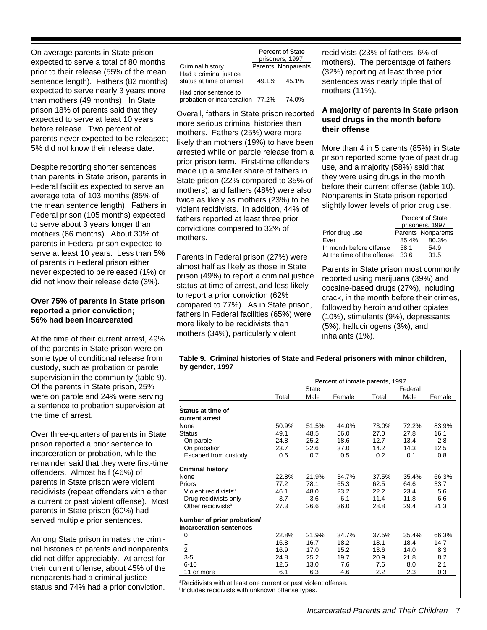On average parents in State prison expected to serve a total of 80 months prior to their release (55% of the mean sentence length). Fathers (82 months) expected to serve nearly 3 years more than mothers (49 months). In State prison 18% of parents said that they expected to serve at least 10 years before release. Two percent of parents never expected to be released; 5% did not know their release date.

Despite reporting shorter sentences than parents in State prison, parents in Federal facilities expected to serve an average total of 103 months (85% of the mean sentence length). Fathers in Federal prison (105 months) expected to serve about 3 years longer than mothers (66 months). About 30% of parents in Federal prison expected to serve at least 10 years. Less than 5% of parents in Federal prison either never expected to be released (1%) or did not know their release date (3%).

## **Over 75% of parents in State prison reported a prior conviction; 56% had been incarcerated**

At the time of their current arrest, 49% of the parents in State prison were on some type of conditional release from custody, such as probation or parole supervision in the community (table 9). Of the parents in State prison, 25% were on parole and 24% were serving a sentence to probation supervision at the time of arrest.

Over three-quarters of parents in State prison reported a prior sentence to incarceration or probation, while the remainder said that they were first-time offenders. Almost half (46%) of parents in State prison were violent recidivists (repeat offenders with either a current or past violent offense). Most parents in State prison (60%) had served multiple prior sentences.

Among State prison inmates the criminal histories of parents and nonparents did not differ appreciably. At arrest for their current offense, about 45% of the nonparents had a criminal justice status and 74% had a prior conviction.

|                                                           |       | <b>Percent of State</b><br>prisoners, 1997 |
|-----------------------------------------------------------|-------|--------------------------------------------|
| Criminal history                                          |       | Parents Nonparents                         |
| Had a criminal justice<br>status at time of arrest        | 49.1% | 45.1%                                      |
| Had prior sentence to<br>probation or incarceration 77.2% |       | 74.0%                                      |

Overall, fathers in State prison reported more serious criminal histories than mothers. Fathers (25%) were more likely than mothers (19%) to have been arrested while on parole release from a prior prison term. First-time offenders made up a smaller share of fathers in State prison (22% compared to 35% of mothers), and fathers (48%) were also twice as likely as mothers (23%) to be violent recidivists. In addition, 44% of fathers reported at least three prior convictions compared to 32% of mothers.

Parents in Federal prison (27%) were almost half as likely as those in State prison (49%) to report a criminal justice status at time of arrest, and less likely to report a prior conviction (62% compared to 77%). As in State prison, fathers in Federal facilities (65%) were more likely to be recidivists than mothers (34%), particularly violent

recidivists (23% of fathers, 6% of mothers). The percentage of fathers (32%) reporting at least three prior sentences was nearly triple that of mothers (11%).

# **A majority of parents in State prison used drugs in the month before their offense**

More than 4 in 5 parents (85%) in State prison reported some type of past drug use, and a majority (58%) said that they were using drugs in the month before their current offense (table 10). Nonparents in State prison reported slightly lower levels of prior drug use.

|                            | <b>Percent of State</b> |                    |  |  |
|----------------------------|-------------------------|--------------------|--|--|
|                            |                         | prisoners, 1997    |  |  |
| Prior drug use             |                         | Parents Nonparents |  |  |
| Ever                       | 85.4%                   | 80.3%              |  |  |
| In month before offense    | 58.1                    | 54.9               |  |  |
| At the time of the offense | 33.6                    | 31.5               |  |  |

Parents in State prison most commonly reported using marijuana (39%) and cocaine-based drugs (27%), including crack, in the month before their crimes, followed by heroin and other opiates (10%), stimulants (9%), depressants (5%), hallucinogens (3%), and inhalants (1%).

| <b>State</b><br>Male<br>51.5%<br>50.9%<br>48.5<br>25.2<br>22.6<br>0.7 | Percent of inmate parents, 1997<br>Female<br>44.0%<br>56.0<br>18.6<br>37.0<br>0.5 | Total<br>73.0%<br>27.0<br>12.7<br>14.2<br>0.2                               | Federal<br>Male<br>72.2%<br>27.8<br>13.4<br>14.3<br>0.1 | Female<br>83.9%<br>16.1<br>2.8<br>12.5<br>0.8 |
|-----------------------------------------------------------------------|-----------------------------------------------------------------------------------|-----------------------------------------------------------------------------|---------------------------------------------------------|-----------------------------------------------|
|                                                                       |                                                                                   |                                                                             |                                                         |                                               |
|                                                                       |                                                                                   |                                                                             |                                                         |                                               |
|                                                                       |                                                                                   |                                                                             |                                                         |                                               |
|                                                                       |                                                                                   |                                                                             |                                                         |                                               |
|                                                                       |                                                                                   |                                                                             |                                                         |                                               |
|                                                                       |                                                                                   |                                                                             |                                                         |                                               |
|                                                                       |                                                                                   |                                                                             |                                                         |                                               |
|                                                                       |                                                                                   |                                                                             |                                                         |                                               |
|                                                                       |                                                                                   |                                                                             |                                                         |                                               |
|                                                                       |                                                                                   |                                                                             |                                                         |                                               |
|                                                                       |                                                                                   |                                                                             |                                                         |                                               |
| 22.8%<br>21.9%                                                        | 34.7%                                                                             | 37.5%                                                                       | 35.4%                                                   | 66.3%                                         |
| 78.1                                                                  | 65.3                                                                              | 62.5                                                                        | 64.6                                                    | 33.7                                          |
| 48.0                                                                  | 23.2                                                                              | 22.2                                                                        | 23.4                                                    | 5.6                                           |
| 3.6                                                                   | 6.1                                                                               | 11.4                                                                        | 11.8                                                    | 6.6                                           |
| 26.6                                                                  | 36.0                                                                              | 28.8                                                                        | 29.4                                                    | 21.3                                          |
|                                                                       |                                                                                   |                                                                             |                                                         |                                               |
|                                                                       |                                                                                   |                                                                             |                                                         |                                               |
|                                                                       | 34.7%                                                                             | 37.5%                                                                       | 35.4%                                                   | 66.3%                                         |
| 16.7                                                                  | 18.2                                                                              | 18.1                                                                        | 18.4                                                    | 14.7                                          |
| 17.0                                                                  | 15.2                                                                              | 13.6                                                                        | 14.0                                                    | 8.3                                           |
| 25.2                                                                  | 19.7                                                                              | 20.9                                                                        | 21.8                                                    | 8.2                                           |
| 13.0                                                                  | 7.6                                                                               | 7.6                                                                         | 8.0                                                     | 2.1                                           |
| 6.3                                                                   | 4.6                                                                               | 2.2                                                                         | 2.3                                                     | 0.3                                           |
|                                                                       | 22.8%<br>21.9%<br><sup>b</sup> Includes recidivists with unknown offense types.   | <sup>a</sup> Recidivists with at least one current or past violent offense. |                                                         |                                               |

**Table 9. Criminal histories of State and Federal prisoners with minor children,**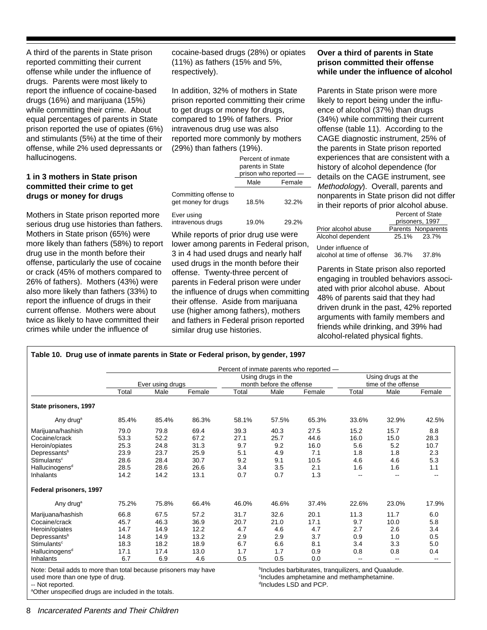A third of the parents in State prison reported committing their current offense while under the influence of drugs. Parents were most likely to report the influence of cocaine-based drugs (16%) and marijuana (15%) while committing their crime. About equal percentages of parents in State prison reported the use of opiates (6%) and stimulants (5%) at the time of their offense, while 2% used depressants or hallucinogens.

# **1 in 3 mothers in State prison committed their crime to get drugs or money for drugs**

Mothers in State prison reported more serious drug use histories than fathers. Mothers in State prison (65%) were more likely than fathers (58%) to report drug use in the month before their offense, particularly the use of cocaine or crack (45% of mothers compared to 26% of fathers). Mothers (43%) were also more likely than fathers (33%) to report the influence of drugs in their current offense. Mothers were about twice as likely to have committed their crimes while under the influence of

cocaine-based drugs (28%) or opiates (11%) as fathers (15% and 5%, respectively).

In addition, 32% of mothers in State prison reported committing their crime to get drugs or money for drugs, compared to 19% of fathers. Prior intravenous drug use was also reported more commonly by mothers (29%) than fathers (19%).

|                                              | Percent of inmate<br>parents in State<br>prison who reported - |        |
|----------------------------------------------|----------------------------------------------------------------|--------|
|                                              | Male                                                           | Female |
| Committing offense to<br>get money for drugs | 18.5%                                                          | 32.2%  |
| Ever using<br>intravenous drugs              | 19.0%                                                          | 29.2%  |

While reports of prior drug use were lower among parents in Federal prison, 3 in 4 had used drugs and nearly half used drugs in the month before their offense. Twenty-three percent of parents in Federal prison were under the influence of drugs when committing their offense. Aside from marijuana use (higher among fathers), mothers and fathers in Federal prison reported similar drug use histories.

# **Over a third of parents in State prison committed their offense while under the influence of alcohol**

Parents in State prison were more likely to report being under the influence of alcohol (37%) than drugs (34%) while committing their current offense (table 11). According to the CAGE diagnostic instrument, 25% of the parents in State prison reported experiences that are consistent with a history of alcohol dependence (for details on the CAGE instrument, see Methodology). Overall, parents and nonparents in State prison did not differ in their reports of prior alcohol abuse. Percent of State

|                            |       | prisoners, 1997    |
|----------------------------|-------|--------------------|
| Prior alcohol abuse        |       | Parents Nonparents |
| Alcohol dependent          |       | 25.1% 23.7%        |
| Under influence of         |       |                    |
| alcohol at time of offense | 36.7% | 37.8%              |

Parents in State prison also reported engaging in troubled behaviors associated with prior alcohol abuse. About 48% of parents said that they had driven drunk in the past, 42% reported arguments with family members and friends while drinking, and 39% had alcohol-related physical fights.

| Table 10. Drug use of inmate parents in State or Federal prison, by gender, 1997 |       |                  |        |       |                                                |                                          |                          |                                           |        |  |
|----------------------------------------------------------------------------------|-------|------------------|--------|-------|------------------------------------------------|------------------------------------------|--------------------------|-------------------------------------------|--------|--|
|                                                                                  |       |                  |        |       |                                                | Percent of inmate parents who reported - |                          |                                           |        |  |
|                                                                                  |       | Ever using drugs |        |       | Using drugs in the<br>month before the offense |                                          |                          | Using drugs at the<br>time of the offense |        |  |
|                                                                                  | Total | Male             | Female | Total | Male                                           | Female                                   | Total                    | Male                                      | Female |  |
| State prisoners, 1997                                                            |       |                  |        |       |                                                |                                          |                          |                                           |        |  |
| Any drug <sup>a</sup>                                                            | 85.4% | 85.4%            | 86.3%  | 58.1% | 57.5%                                          | 65.3%                                    | 33.6%                    | 32.9%                                     | 42.5%  |  |
| Marijuana/hashish                                                                | 79.0  | 79.8             | 69.4   | 39.3  | 40.3                                           | 27.5                                     | 15.2                     | 15.7                                      | 8.8    |  |
| Cocaine/crack                                                                    | 53.3  | 52.2             | 67.2   | 27.1  | 25.7                                           | 44.6                                     | 16.0                     | 15.0                                      | 28.3   |  |
| Heroin/opiates                                                                   | 25.3  | 24.8             | 31.3   | 9.7   | 9.2                                            | 16.0                                     | 5.6                      | 5.2                                       | 10.7   |  |
| Depressants <sup>b</sup>                                                         | 23.9  | 23.7             | 25.9   | 5.1   | 4.9                                            | 7.1                                      | 1.8                      | 1.8                                       | 2.3    |  |
| Stimulants <sup>c</sup>                                                          | 28.6  | 28.4             | 30.7   | 9.2   | 9.1                                            | 10.5                                     | 4.6                      | 4.6                                       | 5.3    |  |
| Hallucinogens <sup>d</sup>                                                       | 28.5  | 28.6             | 26.6   | 3.4   | 3.5                                            | 2.1                                      | 1.6                      | 1.6                                       | 1.1    |  |
| <b>Inhalants</b>                                                                 | 14.2  | 14.2             | 13.1   | 0.7   | 0.7                                            | 1.3                                      | $\overline{\phantom{a}}$ |                                           | --     |  |
| Federal prisoners, 1997                                                          |       |                  |        |       |                                                |                                          |                          |                                           |        |  |
| Any drug <sup>a</sup>                                                            | 75.2% | 75.8%            | 66.4%  | 46.0% | 46.6%                                          | 37.4%                                    | 22.6%                    | 23.0%                                     | 17.9%  |  |
| Marijuana/hashish                                                                | 66.8  | 67.5             | 57.2   | 31.7  | 32.6                                           | 20.1                                     | 11.3                     | 11.7                                      | 6.0    |  |
| Cocaine/crack                                                                    | 45.7  | 46.3             | 36.9   | 20.7  | 21.0                                           | 17.1                                     | 9.7                      | 10.0                                      | 5.8    |  |
| Heroin/opiates                                                                   | 14.7  | 14.9             | 12.2   | 4.7   | 4.6                                            | 4.7                                      | 2.7                      | 2.6                                       | 3.4    |  |
| Depressants <sup>b</sup>                                                         | 14.8  | 14.9             | 13.2   | 2.9   | 2.9                                            | 3.7                                      | 0.9                      | 1.0                                       | 0.5    |  |
| Stimulants <sup>c</sup>                                                          | 18.3  | 18.2             | 18.9   | 6.7   | 6.6                                            | 8.1                                      | 3.4                      | 3.3                                       | 5.0    |  |
| Hallucinogens <sup>d</sup>                                                       | 17.1  | 17.4             | 13.0   | 1.7   | 1.7                                            | 0.9                                      | 0.8                      | 0.8                                       | 0.4    |  |
| Inhalants                                                                        | 6.7   | 6.9              | 4.6    | 0.5   | 0.5                                            | 0.0                                      | $\overline{\phantom{a}}$ |                                           |        |  |

Note: Detail adds to more than total because prisoners may have used more than one type of drug.

-- Not reported.

aOther unspecified drugs are included in the totals.

b Includes barbiturates, tranquilizers, and Quaalude. <sup>c</sup>Includes amphetamine and methamphetamine. d Includes LSD and PCP.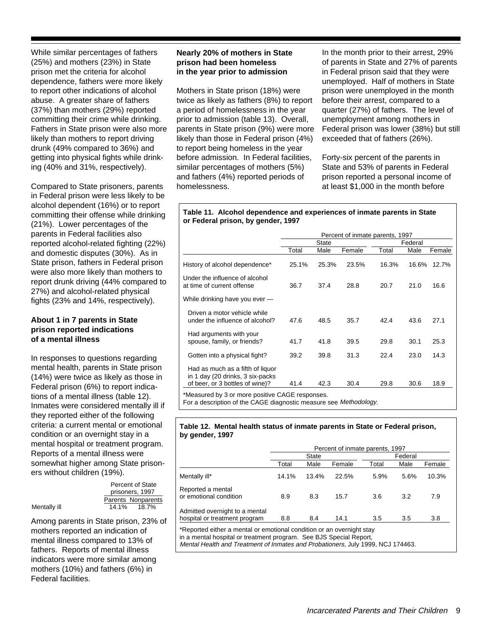While similar percentages of fathers (25%) and mothers (23%) in State prison met the criteria for alcohol dependence, fathers were more likely to report other indications of alcohol abuse. A greater share of fathers (37%) than mothers (29%) reported committing their crime while drinking. Fathers in State prison were also more likely than mothers to report driving drunk (49% compared to 36%) and getting into physical fights while drinking (40% and 31%, respectively).

Compared to State prisoners, parents in Federal prison were less likely to be alcohol dependent (16%) or to report committing their offense while drinking (21%). Lower percentages of the parents in Federal facilities also reported alcohol-related fighting (22%) and domestic disputes (30%). As in State prison, fathers in Federal prison were also more likely than mothers to report drunk driving (44% compared to 27%) and alcohol-related physical fights (23% and 14%, respectively).

# **About 1 in 7 parents in State prison reported indications of a mental illness**

In responses to questions regarding mental health, parents in State prison (14%) were twice as likely as those in Federal prison (6%) to report indications of a mental illness (table 12). Inmates were considered mentally ill if they reported either of the following criteria: a current mental or emotional condition or an overnight stay in a mental hospital or treatment program. Reports of a mental illness were somewhat higher among State prisoners without children (19%).

|              | Percent of State   |
|--------------|--------------------|
|              | prisoners, 1997    |
|              | Parents Nonparents |
| Mentally ill | 14.1%<br>18.7%     |

Among parents in State prison, 23% of mothers reported an indication of mental illness compared to 13% of fathers. Reports of mental illness indicators were more similar among mothers (10%) and fathers (6%) in Federal facilities.

# **Nearly 20% of mothers in State prison had been homeless in the year prior to admission**

Mothers in State prison (18%) were twice as likely as fathers (8%) to report a period of homelessness in the year prior to admission (table 13). Overall, parents in State prison (9%) were more likely than those in Federal prison (4%) to report being homeless in the year before admission. In Federal facilities, similar percentages of mothers (5%) and fathers (4%) reported periods of homelessness.

In the month prior to their arrest, 29% of parents in State and 27% of parents in Federal prison said that they were unemployed. Half of mothers in State prison were unemployed in the month before their arrest, compared to a quarter (27%) of fathers. The level of unemployment among mothers in Federal prison was lower (38%) but still exceeded that of fathers (26%).

Forty-six percent of the parents in State and 53% of parents in Federal prison reported a personal income of at least \$1,000 in the month before

#### **Table 11. Alcohol dependence and experiences of inmate parents in State or Federal prison, by gender, 1997**

|                                                                      | Percent of inmate parents, 1997 |       |        |         |       |        |
|----------------------------------------------------------------------|---------------------------------|-------|--------|---------|-------|--------|
|                                                                      | State                           |       |        | Federal |       |        |
|                                                                      | Total                           | Male  | Female | Total   | Male  | Female |
| History of alcohol dependence*                                       | 25.1%                           | 25.3% | 23.5%  | 16.3%   | 16.6% | 12.7%  |
| Under the influence of alcohol<br>at time of current offense         | 36.7                            | 37.4  | 28.8   | 20.7    | 21.0  | 16.6   |
| While drinking have you ever -                                       |                                 |       |        |         |       |        |
| Driven a motor vehicle while<br>under the influence of alcohol?      | 47.6                            | 48.5  | 35.7   | 42.4    | 43.6  | 27.1   |
| Had arguments with your<br>spouse, family, or friends?               | 41.7                            | 41.8  | 39.5   | 29.8    | 30.1  | 25.3   |
| Gotten into a physical fight?                                        | 39.2                            | 39.8  | 31.3   | 22.4    | 23.0  | 14.3   |
| Had as much as a fifth of liquor<br>in 1 day (20 drinks, 3 six-packs |                                 |       |        |         |       |        |
| of beer, or 3 bottles of wine)?                                      | 41.4                            | 42.3  | 30.4   | 29.8    | 30.6  | 18.9   |

\*Measured by 3 or more positive CAGE responses.

For a description of the CAGE diagnostic measure see Methodology.

#### **Table 12. Mental health status of inmate parents in State or Federal prison, by gender, 1997**

|                                                                 | Percent of inmate parents, 1997 |       |        |         |      |        |
|-----------------------------------------------------------------|---------------------------------|-------|--------|---------|------|--------|
|                                                                 | State                           |       |        | Federal |      |        |
|                                                                 | Total                           | Male  | Female | Total   | Male | Female |
| Mentally ill*                                                   | 14.1%                           | 13.4% | 22.5%  | 5.9%    | 5.6% | 10.3%  |
| Reported a mental<br>or emotional condition                     | 8.9                             | 8.3   | 15.7   | 3.6     | 3.2  | 7.9    |
| Admitted overnight to a mental<br>hospital or treatment program | 8.8                             | 8.4   | 14.1   | 3.5     | 3.5  | 3.8    |

\*Reported either a mental or emotional condition or an overnight stay in a mental hospital or treatment program. See BJS Special Report,

Mental Health and Treatment of Inmates and Probationers, July 1999, NCJ 174463.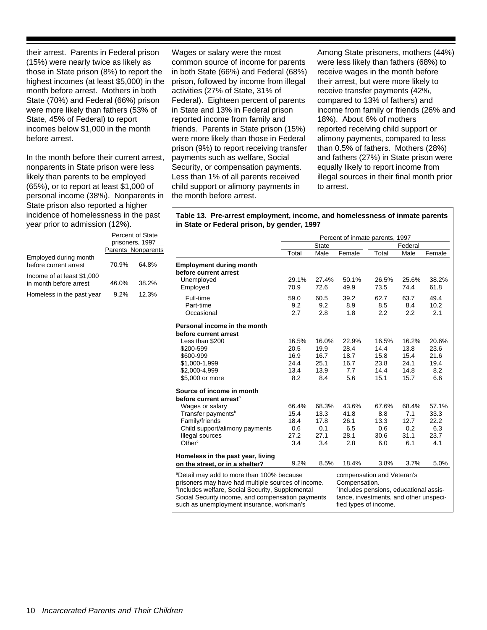their arrest. Parents in Federal prison (15%) were nearly twice as likely as those in State prison (8%) to report the highest incomes (at least \$5,000) in the month before arrest. Mothers in both State (70%) and Federal (66%) prison were more likely than fathers (53% of State, 45% of Federal) to report incomes below \$1,000 in the month before arrest.

In the month before their current arrest, nonparents in State prison were less likely than parents to be employed (65%), or to report at least \$1,000 of personal income (38%). Nonparents in State prison also reported a higher incidence of homelessness in the past year prior to admission (12%). Percent of State

|                                                      | prisoners, 1997 |                    |  |
|------------------------------------------------------|-----------------|--------------------|--|
|                                                      |                 | Parents Nonparents |  |
| Employed during month<br>before current arrest       | 70.9%           | 64.8%              |  |
| Income of at least \$1,000<br>in month before arrest | 46.0%           | 38.2%              |  |
| Homeless in the past year                            | $9.2\%$         | 12.3%              |  |

Wages or salary were the most common source of income for parents in both State (66%) and Federal (68%) prison, followed by income from illegal activities (27% of State, 31% of Federal). Eighteen percent of parents in State and 13% in Federal prison reported income from family and friends. Parents in State prison (15%) were more likely than those in Federal prison (9%) to report receiving transfer payments such as welfare, Social Security, or compensation payments. Less than 1% of all parents received child support or alimony payments in the month before arrest.

Among State prisoners, mothers (44%) were less likely than fathers (68%) to receive wages in the month before their arrest, but were more likely to receive transfer payments (42%, compared to 13% of fathers) and income from family or friends (26% and 18%). About 6% of mothers reported receiving child support or alimony payments, compared to less than 0.5% of fathers. Mothers (28%) and fathers (27%) in State prison were equally likely to report income from illegal sources in their final month prior to arrest.

**Table 13. Pre-arrest employment, income, and homelessness of inmate parents in State or Federal prison, by gender, 1997**

|                                                                                                                                                                                                                                                                               | Percent of inmate parents, 1997 |                                                                                                                                                                      |                     |                     |                     |                     |
|-------------------------------------------------------------------------------------------------------------------------------------------------------------------------------------------------------------------------------------------------------------------------------|---------------------------------|----------------------------------------------------------------------------------------------------------------------------------------------------------------------|---------------------|---------------------|---------------------|---------------------|
|                                                                                                                                                                                                                                                                               | <b>State</b>                    |                                                                                                                                                                      |                     | Federal             |                     |                     |
|                                                                                                                                                                                                                                                                               | Total                           | Male                                                                                                                                                                 | Female              | Total               | Male                | Female              |
| <b>Employment during month</b><br>before current arrest                                                                                                                                                                                                                       |                                 |                                                                                                                                                                      |                     |                     |                     |                     |
| Unemployed<br>Employed                                                                                                                                                                                                                                                        | 29.1%<br>70.9                   | 27.4%<br>72.6                                                                                                                                                        | 50.1%<br>49.9       | 26.5%<br>73.5       | 25.6%<br>74.4       | 38.2%<br>61.8       |
| Full-time<br>Part-time<br>Occasional                                                                                                                                                                                                                                          | 59.0<br>9.2<br>2.7              | 60.5<br>9.2<br>2.8                                                                                                                                                   | 39.2<br>8.9<br>1.8  | 62.7<br>8.5<br>2.2  | 63.7<br>8.4<br>2.2  | 49.4<br>10.2<br>2.1 |
| Personal income in the month                                                                                                                                                                                                                                                  |                                 |                                                                                                                                                                      |                     |                     |                     |                     |
| before current arrest                                                                                                                                                                                                                                                         |                                 |                                                                                                                                                                      |                     |                     |                     |                     |
| Less than \$200<br>\$200-599                                                                                                                                                                                                                                                  | 16.5%<br>20.5                   | 16.0%<br>19.9                                                                                                                                                        | 22.9%<br>28.4       | 16.5%<br>14.4       | 16.2%<br>13.8       | 20.6%<br>23.6       |
| \$600-999<br>\$1,000-1,999                                                                                                                                                                                                                                                    | 16.9<br>24.4                    | 16.7<br>25.1                                                                                                                                                         | 18.7<br>16.7        | 15.8<br>23.8        | 15.4<br>24.1        | 21.6<br>19.4        |
| \$2,000-4,999<br>\$5,000 or more                                                                                                                                                                                                                                              | 13.4<br>8.2                     | 13.9<br>8.4                                                                                                                                                          | 7.7<br>5.6          | 14.4<br>15.1        | 14.8<br>15.7        | 8.2<br>6.6          |
| Source of income in month                                                                                                                                                                                                                                                     |                                 |                                                                                                                                                                      |                     |                     |                     |                     |
| before current arrest <sup>a</sup>                                                                                                                                                                                                                                            |                                 |                                                                                                                                                                      |                     |                     |                     |                     |
| Wages or salary<br>Transfer payments <sup>b</sup>                                                                                                                                                                                                                             | 66.4%<br>15.4                   | 68.3%<br>13.3                                                                                                                                                        | 43.6%<br>41.8       | 67.6%<br>8.8        | 68.4%<br>7.1        | 57.1%<br>33.3       |
| Family/friends<br>Child support/alimony payments<br>Illegal sources                                                                                                                                                                                                           | 18.4<br>0.6<br>27.2             | 17.8<br>0.1<br>27.1                                                                                                                                                  | 26.1<br>6.5<br>28.1 | 13.3<br>0.6<br>30.6 | 12.7<br>0.2<br>31.1 | 22.2<br>6.3<br>23.7 |
| Other <sup>c</sup>                                                                                                                                                                                                                                                            | 3.4                             | 3.4                                                                                                                                                                  | 2.8                 | 6.0                 | 6.1                 | 4.1                 |
| Homeless in the past year, living<br>on the street, or in a shelter?                                                                                                                                                                                                          | 9.2%                            | 8.5%                                                                                                                                                                 | 18.4%               | 3.8%                | 3.7%                | 5.0%                |
| <sup>a</sup> Detail may add to more than 100% because<br>prisoners may have had multiple sources of income.<br><sup>b</sup> Includes welfare, Social Security, Supplemental<br>Social Security income, and compensation payments<br>such as unemployment insurance, workman's |                                 | compensation and Veteran's<br>Compensation.<br><sup>c</sup> Includes pensions, educational assis-<br>tance, investments, and other unspeci-<br>fied types of income. |                     |                     |                     |                     |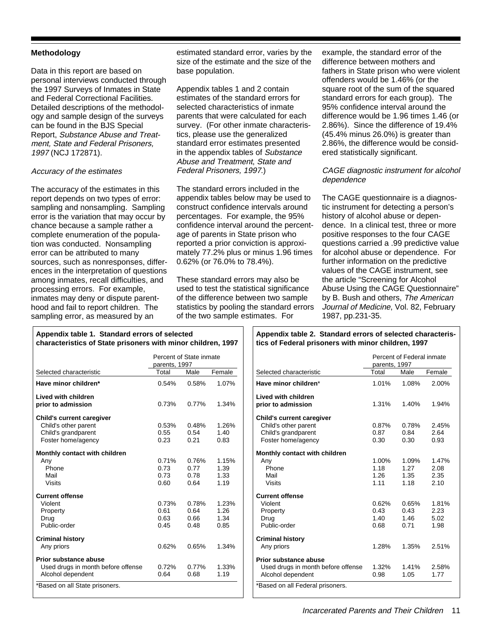# **Methodology**

Data in this report are based on personal interviews conducted through the 1997 Surveys of Inmates in State and Federal Correctional Facilities. Detailed descriptions of the methodology and sample design of the surveys can be found in the BJS Special Report, Substance Abuse and Treatment, State and Federal Prisoners, 1997 (NCJ 172871).

#### Accuracy of the estimates

The accuracy of the estimates in this report depends on two types of error: sampling and nonsampling. Sampling error is the variation that may occur by chance because a sample rather a complete enumeration of the population was conducted. Nonsampling error can be attributed to many sources, such as nonresponses, differences in the interpretation of questions among inmates, recall difficulties, and processing errors. For example, inmates may deny or dispute parenthood and fail to report children. The sampling error, as measured by an

estimated standard error, varies by the size of the estimate and the size of the base population.

Appendix tables 1 and 2 contain estimates of the standard errors for selected characteristics of inmate parents that were calculated for each survey. (For other inmate characteristics, please use the generalized standard error estimates presented in the appendix tables of Substance Abuse and Treatment, State and Federal Prisoners, 1997.)

The standard errors included in the appendix tables below may be used to construct confidence intervals around percentages. For example, the 95% confidence interval around the percentage of parents in State prison who reported a prior conviction is approximately 77.2% plus or minus 1.96 times 0.62% (or 76.0% to 78.4%).

These standard errors may also be used to test the statistical significance of the difference between two sample statistics by pooling the standard errors of the two sample estimates. For

example, the standard error of the difference between mothers and fathers in State prison who were violent offenders would be 1.46% (or the square root of the sum of the squared standard errors for each group). The 95% confidence interval around the difference would be 1.96 times 1.46 (or 2.86%). Since the difference of 19.4% (45.4% minus 26.0%) is greater than 2.86%, the difference would be considered statistically significant.

# CAGE diagnostic instrument for alcohol dependence

The CAGE questionnaire is a diagnostic instrument for detecting a person's history of alcohol abuse or dependence. In a clinical test, three or more positive responses to the four CAGE questions carried a .99 predictive value for alcohol abuse or dependence. For further information on the predictive values of the CAGE instrument, see the article "Screening for Alcohol Abuse Using the CAGE Questionnaire" by B. Bush and others, The American Journal of Medicine, Vol. 82, February 1987, pp.231-35.

Percent of Federal inmate

# **Appendix table 1. Standard errors of selected characteristics of State prisoners with minor children, 1997**

#### **Appendix table 2. Standard errors of selected characteristics of Federal prisoners with minor children, 1997**

|                                                                                                       | Percent of State inmate<br>parents, 1997 |                               |                               |  |
|-------------------------------------------------------------------------------------------------------|------------------------------------------|-------------------------------|-------------------------------|--|
| Selected characteristic                                                                               | Total                                    | Male                          | Female                        |  |
| Have minor children*                                                                                  | 0.54%                                    | 0.58%                         | 1.07%                         |  |
| Lived with children<br>prior to admission                                                             | 0.73%                                    | 0.77%                         | 1.34%                         |  |
| <b>Child's current caregiver</b><br>Child's other parent<br>Child's grandparent<br>Foster home/agency | 0.53%<br>0.55<br>0.23                    | 0.48%<br>0.54<br>0.21         | 1.26%<br>1.40<br>0.83         |  |
| Monthly contact with children<br>Any<br>Phone<br>Mail<br>Visits                                       | 0.71%<br>0.73<br>0.73<br>0.60            | 0.76%<br>0.77<br>0.78<br>0.64 | 1.15%<br>1.39<br>1.33<br>1.19 |  |
| <b>Current offense</b><br>Violent<br>Property<br>Drug<br>Public-order                                 | 0.73%<br>0.61<br>0.63<br>0.45            | 0.78%<br>0.64<br>0.66<br>0.48 | 1.23%<br>1.26<br>1.34<br>0.85 |  |
| <b>Criminal history</b><br>Any priors                                                                 | 0.62%                                    | 0.65%                         | 1.34%                         |  |
| Prior substance abuse<br>Used drugs in month before offense<br>Alcohol dependent                      | 0.72%<br>0.64                            | 0.77%<br>0.68                 | 1.33%<br>1.19                 |  |
| *Based on all State prisoners.                                                                        |                                          |                               |                               |  |

|                                    | crecin or regerar inimate<br>parents, 1997 |       |        |  |
|------------------------------------|--------------------------------------------|-------|--------|--|
| Selected characteristic            | Total                                      | Male  | Female |  |
| Have minor children*               | 1.01%                                      | 1.08% | 2.00%  |  |
| <b>Lived with children</b>         |                                            |       |        |  |
| prior to admission                 | 1.31%                                      | 1.40% | 1.94%  |  |
| <b>Child's current caregiver</b>   |                                            |       |        |  |
| Child's other parent               | 0.87%                                      | 0.78% | 2.45%  |  |
| Child's grandparent                | 0.87                                       | 0.84  | 2.64   |  |
| Foster home/agency                 | 0.30                                       | 0.30  | 0.93   |  |
| Monthly contact with children      |                                            |       |        |  |
| Anv                                | 1.00%                                      | 1.09% | 1.47%  |  |
| Phone                              | 1.18                                       | 1.27  | 2.08   |  |
| Mail                               | 1.26                                       | 1.35  | 2.35   |  |
| Visits                             | 1.11                                       | 1.18  | 2.10   |  |
| <b>Current offense</b>             |                                            |       |        |  |
| Violent                            | 0.62%                                      | 0.65% | 1.81%  |  |
| Property                           | 0.43                                       | 0.43  | 2.23   |  |
| Drug                               | 1.40                                       | 1.46  | 5.02   |  |
| Public-order                       | 0.68                                       | 0.71  | 1.98   |  |
| <b>Criminal history</b>            |                                            |       |        |  |
| Any priors                         | 1.28%                                      | 1.35% | 2.51%  |  |
| Prior substance abuse              |                                            |       |        |  |
| Used drugs in month before offense | 1.32%                                      | 1.41% | 2.58%  |  |
| Alcohol dependent                  | 0.98                                       | 1.05  | 1.77   |  |
| *Based on all Federal prisoners.   |                                            |       |        |  |